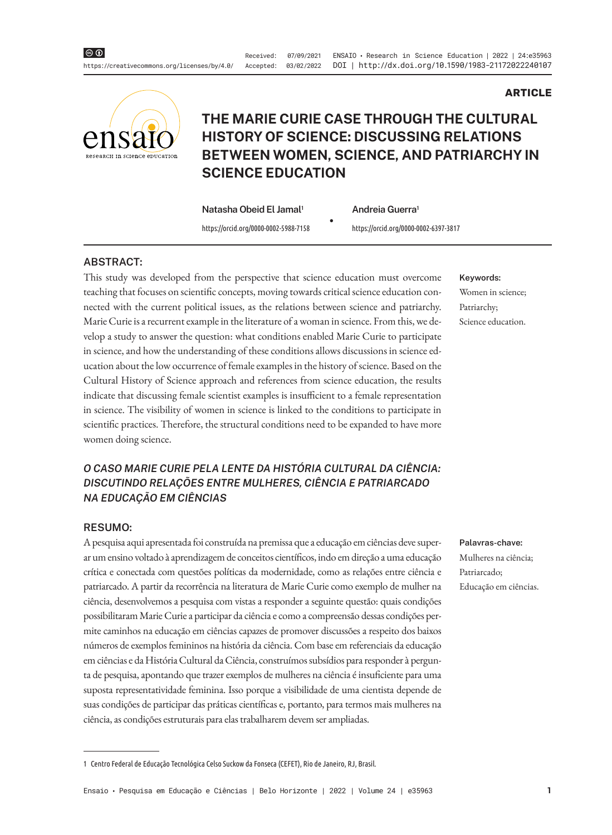Received: 07/09/2021 ENSAIO · Research in Science Education | 2022 | 24:e35963 Accepted: 03/02/2022 DOI | http://dx.doi.org/10.1590/1983-21172022240107



# **THE MARIE CURIE CASE THROUGH THE CULTURAL HISTORY OF SCIENCE: DISCUSSING RELATIONS BETWEEN WOMEN, SCIENCE, AND PATRIARCHY IN SCIENCE EDUCATION**

**Natasha Obeid El Jamal1**

https://orcid.org/0000-0002-5988-7158 https://orcid.org/0000-0002-6397-3817

• **Andreia Guerra1**

#### **ABSTRACT:**

This study was developed from the perspective that science education must overcome teaching that focuses on scientific concepts, moving towards critical science education connected with the current political issues, as the relations between science and patriarchy. Marie Curie is a recurrent example in the literature of a woman in science. From this, we develop a study to answer the question: what conditions enabled Marie Curie to participate in science, and how the understanding of these conditions allows discussions in science education about the low occurrence of female examples in the history of science. Based on the Cultural History of Science approach and references from science education, the results indicate that discussing female scientist examples is insufficient to a female representation in science. The visibility of women in science is linked to the conditions to participate in scientific practices. Therefore, the structural conditions need to be expanded to have more women doing science.

## *O CASO MARIE CURIE PELA LENTE DA HISTÓRIA CULTURAL DA CIÊNCIA: DISCUTINDO RELAÇÕES ENTRE MULHERES, CIÊNCIA E PATRIARCADO NA EDUCAÇÃO EM CIÊNCIAS*

#### **RESUMO:**

A pesquisa aqui apresentada foi construída na premissa que a educação em ciências deve superar um ensino voltado à aprendizagem de conceitos científicos, indo em direção a uma educação crítica e conectada com questões políticas da modernidade, como as relações entre ciência e patriarcado. A partir da recorrência na literatura de Marie Curie como exemplo de mulher na ciência, desenvolvemos a pesquisa com vistas a responder a seguinte questão: quais condições possibilitaram Marie Curie a participar da ciência e como a compreensão dessas condições permite caminhos na educação em ciências capazes de promover discussões a respeito dos baixos números de exemplos femininos na história da ciência. Com base em referenciais da educação em ciências e da História Cultural da Ciência, construímos subsídios para responder à pergunta de pesquisa, apontando que trazer exemplos de mulheres na ciência é insuficiente para uma suposta representatividade feminina. Isso porque a visibilidade de uma cientista depende de suas condições de participar das práticas científicas e, portanto, para termos mais mulheres na ciência, as condições estruturais para elas trabalharem devem ser ampliadas.

#### **Keywords:**

Women in science; Patriarchy; Science education.

**ARTICLE**

#### **Palavras-chave:**

Mulheres na ciência; Patriarcado; Educação em ciências.

<sup>1</sup> Centro Federal de Educação Tecnológica Celso Suckow da Fonseca (CEFET), Rio de Janeiro, RJ, Brasil.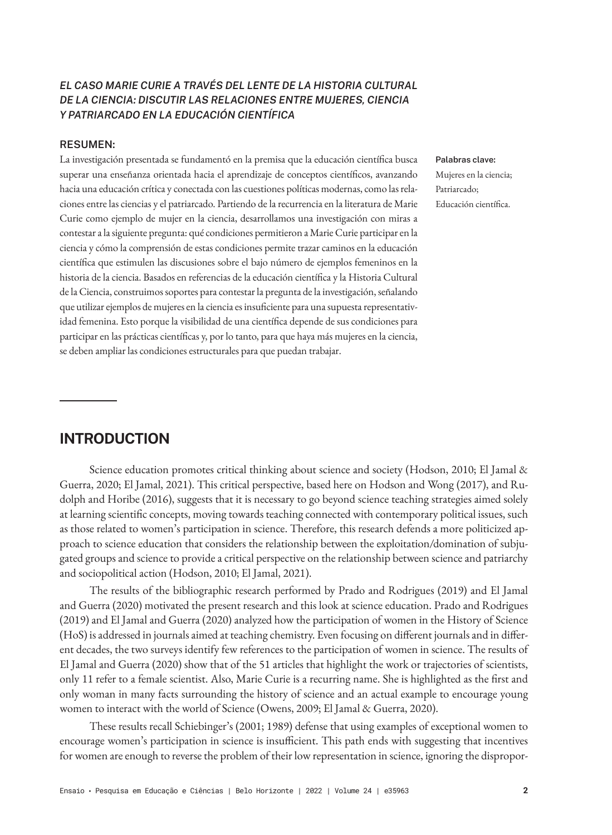## *EL CASO MARIE CURIE A TRAVÉS DEL LENTE DE LA HISTORIA CULTURAL DE LA CIENCIA: DISCUTIR LAS RELACIONES ENTRE MUJERES, CIENCIA Y PATRIARCADO EN LA EDUCACIÓN CIENTÍFICA*

#### **RESUMEN:**

La investigación presentada se fundamentó en la premisa que la educación científica busca superar una enseñanza orientada hacia el aprendizaje de conceptos científicos, avanzando hacia una educación crítica y conectada con las cuestiones políticas modernas, como las relaciones entre las ciencias y el patriarcado. Partiendo de la recurrencia en la literatura de Marie Curie como ejemplo de mujer en la ciencia, desarrollamos una investigación con miras a contestar a la siguiente pregunta: qué condiciones permitieron a Marie Curie participar en la ciencia y cómo la comprensión de estas condiciones permite trazar caminos en la educación científica que estimulen las discusiones sobre el bajo número de ejemplos femeninos en la historia de la ciencia. Basados en referencias de la educación científica y la Historia Cultural de la Ciencia, construimos soportes para contestar la pregunta de la investigación, señalando que utilizar ejemplos de mujeres en la ciencia es insuficiente para una supuesta representatividad femenina. Esto porque la visibilidad de una científica depende de sus condiciones para participar en las prácticas científicas y, por lo tanto, para que haya más mujeres en la ciencia, se deben ampliar las condiciones estructurales para que puedan trabajar.

#### **Palabras clave:**

Mujeres en la ciencia; Patriarcado; Educación científica.

# **INTRODUCTION**

Science education promotes critical thinking about science and society (Hodson, 2010; El Jamal & Guerra, 2020; El Jamal, 2021). This critical perspective, based here on Hodson and Wong (2017), and Rudolph and Horibe (2016), suggests that it is necessary to go beyond science teaching strategies aimed solely at learning scientific concepts, moving towards teaching connected with contemporary political issues, such as those related to women's participation in science. Therefore, this research defends a more politicized approach to science education that considers the relationship between the exploitation/domination of subjugated groups and science to provide a critical perspective on the relationship between science and patriarchy and sociopolitical action (Hodson, 2010; El Jamal, 2021).

The results of the bibliographic research performed by Prado and Rodrigues (2019) and El Jamal and Guerra (2020) motivated the present research and this look at science education. Prado and Rodrigues (2019) and El Jamal and Guerra (2020) analyzed how the participation of women in the History of Science (HoS) is addressed in journals aimed at teaching chemistry. Even focusing on different journals and in different decades, the two surveys identify few references to the participation of women in science. The results of El Jamal and Guerra (2020) show that of the 51 articles that highlight the work or trajectories of scientists, only 11 refer to a female scientist. Also, Marie Curie is a recurring name. She is highlighted as the first and only woman in many facts surrounding the history of science and an actual example to encourage young women to interact with the world of Science (Owens, 2009; El Jamal & Guerra, 2020).

These results recall Schiebinger's (2001; 1989) defense that using examples of exceptional women to encourage women's participation in science is insufficient. This path ends with suggesting that incentives for women are enough to reverse the problem of their low representation in science, ignoring the dispropor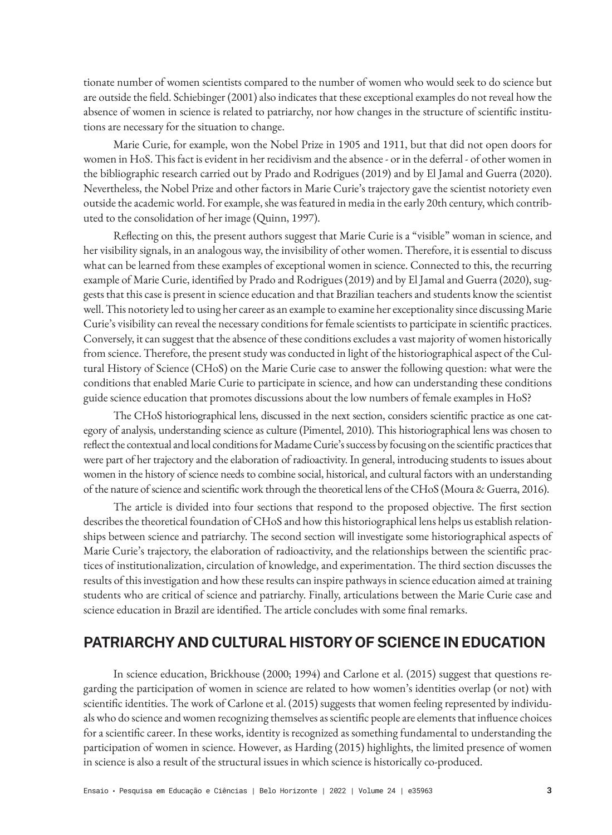tionate number of women scientists compared to the number of women who would seek to do science but are outside the field. Schiebinger (2001) also indicates that these exceptional examples do not reveal how the absence of women in science is related to patriarchy, nor how changes in the structure of scientific institutions are necessary for the situation to change.

Marie Curie, for example, won the Nobel Prize in 1905 and 1911, but that did not open doors for women in HoS. This fact is evident in her recidivism and the absence - or in the deferral - of other women in the bibliographic research carried out by Prado and Rodrigues (2019) and by El Jamal and Guerra (2020). Nevertheless, the Nobel Prize and other factors in Marie Curie's trajectory gave the scientist notoriety even outside the academic world. For example, she was featured in media in the early 20th century, which contributed to the consolidation of her image (Quinn, 1997).

Reflecting on this, the present authors suggest that Marie Curie is a "visible" woman in science, and her visibility signals, in an analogous way, the invisibility of other women. Therefore, it is essential to discuss what can be learned from these examples of exceptional women in science. Connected to this, the recurring example of Marie Curie, identified by Prado and Rodrigues (2019) and by El Jamal and Guerra (2020), suggests that this case is present in science education and that Brazilian teachers and students know the scientist well. This notoriety led to using her career as an example to examine her exceptionality since discussing Marie Curie's visibility can reveal the necessary conditions for female scientists to participate in scientific practices. Conversely, it can suggest that the absence of these conditions excludes a vast majority of women historically from science. Therefore, the present study was conducted in light of the historiographical aspect of the Cultural History of Science (CHoS) on the Marie Curie case to answer the following question: what were the conditions that enabled Marie Curie to participate in science, and how can understanding these conditions guide science education that promotes discussions about the low numbers of female examples in HoS?

The CHoS historiographical lens, discussed in the next section, considers scientific practice as one category of analysis, understanding science as culture (Pimentel, 2010). This historiographical lens was chosen to reflect the contextual and local conditions for Madame Curie's success by focusing on the scientific practices that were part of her trajectory and the elaboration of radioactivity. In general, introducing students to issues about women in the history of science needs to combine social, historical, and cultural factors with an understanding of the nature of science and scientific work through the theoretical lens of the CHoS (Moura & Guerra, 2016).

The article is divided into four sections that respond to the proposed objective. The first section describes the theoretical foundation of CHoS and how this historiographical lens helps us establish relationships between science and patriarchy. The second section will investigate some historiographical aspects of Marie Curie's trajectory, the elaboration of radioactivity, and the relationships between the scientific practices of institutionalization, circulation of knowledge, and experimentation. The third section discusses the results of this investigation and how these results can inspire pathways in science education aimed at training students who are critical of science and patriarchy. Finally, articulations between the Marie Curie case and science education in Brazil are identified. The article concludes with some final remarks.

# **PATRIARCHY AND CULTURAL HISTORY OF SCIENCE IN EDUCATION**

In science education, Brickhouse (2000; 1994) and Carlone et al. (2015) suggest that questions regarding the participation of women in science are related to how women's identities overlap (or not) with scientific identities. The work of Carlone et al. (2015) suggests that women feeling represented by individuals who do science and women recognizing themselves as scientific people are elements that influence choices for a scientific career. In these works, identity is recognized as something fundamental to understanding the participation of women in science. However, as Harding (2015) highlights, the limited presence of women in science is also a result of the structural issues in which science is historically co-produced.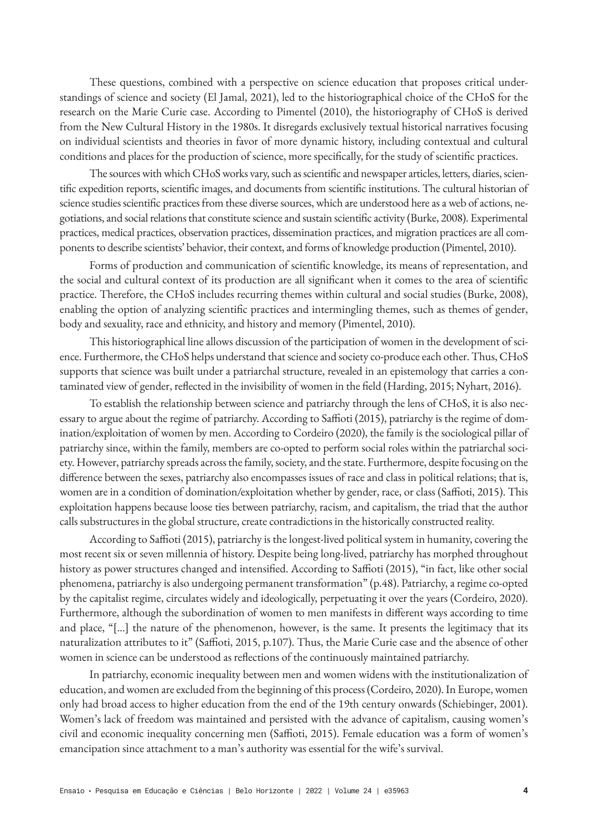These questions, combined with a perspective on science education that proposes critical understandings of science and society (El Jamal, 2021), led to the historiographical choice of the CHoS for the research on the Marie Curie case. According to Pimentel (2010), the historiography of CHoS is derived from the New Cultural History in the 1980s. It disregards exclusively textual historical narratives focusing on individual scientists and theories in favor of more dynamic history, including contextual and cultural conditions and places for the production of science, more specifically, for the study of scientific practices.

The sources with which CHoS works vary, such as scientific and newspaper articles, letters, diaries, scientific expedition reports, scientific images, and documents from scientific institutions. The cultural historian of science studies scientific practices from these diverse sources, which are understood here as a web of actions, negotiations, and social relations that constitute science and sustain scientific activity (Burke, 2008). Experimental practices, medical practices, observation practices, dissemination practices, and migration practices are all components to describe scientists' behavior, their context, and forms of knowledge production (Pimentel, 2010).

Forms of production and communication of scientific knowledge, its means of representation, and the social and cultural context of its production are all significant when it comes to the area of scientific practice. Therefore, the CHoS includes recurring themes within cultural and social studies (Burke, 2008), enabling the option of analyzing scientific practices and intermingling themes, such as themes of gender, body and sexuality, race and ethnicity, and history and memory (Pimentel, 2010).

This historiographical line allows discussion of the participation of women in the development of science. Furthermore, the CHoS helps understand that science and society co-produce each other. Thus, CHoS supports that science was built under a patriarchal structure, revealed in an epistemology that carries a contaminated view of gender, reflected in the invisibility of women in the field (Harding, 2015; Nyhart, 2016).

To establish the relationship between science and patriarchy through the lens of CHoS, it is also necessary to argue about the regime of patriarchy. According to Saffioti (2015), patriarchy is the regime of domination/exploitation of women by men. According to Cordeiro (2020), the family is the sociological pillar of patriarchy since, within the family, members are co-opted to perform social roles within the patriarchal society. However, patriarchy spreads across the family, society, and the state. Furthermore, despite focusing on the difference between the sexes, patriarchy also encompasses issues of race and class in political relations; that is, women are in a condition of domination/exploitation whether by gender, race, or class (Saffioti, 2015). This exploitation happens because loose ties between patriarchy, racism, and capitalism, the triad that the author calls substructures in the global structure, create contradictions in the historically constructed reality.

According to Saffioti (2015), patriarchy is the longest-lived political system in humanity, covering the most recent six or seven millennia of history. Despite being long-lived, patriarchy has morphed throughout history as power structures changed and intensified. According to Saffioti (2015), "in fact, like other social phenomena, patriarchy is also undergoing permanent transformation" (p.48). Patriarchy, a regime co-opted by the capitalist regime, circulates widely and ideologically, perpetuating it over the years (Cordeiro, 2020). Furthermore, although the subordination of women to men manifests in different ways according to time and place, "[...] the nature of the phenomenon, however, is the same. It presents the legitimacy that its naturalization attributes to it" (Saffioti, 2015, p.107). Thus, the Marie Curie case and the absence of other women in science can be understood as reflections of the continuously maintained patriarchy.

In patriarchy, economic inequality between men and women widens with the institutionalization of education, and women are excluded from the beginning of this process (Cordeiro, 2020). In Europe, women only had broad access to higher education from the end of the 19th century onwards (Schiebinger, 2001). Women's lack of freedom was maintained and persisted with the advance of capitalism, causing women's civil and economic inequality concerning men (Saffioti, 2015). Female education was a form of women's emancipation since attachment to a man's authority was essential for the wife's survival.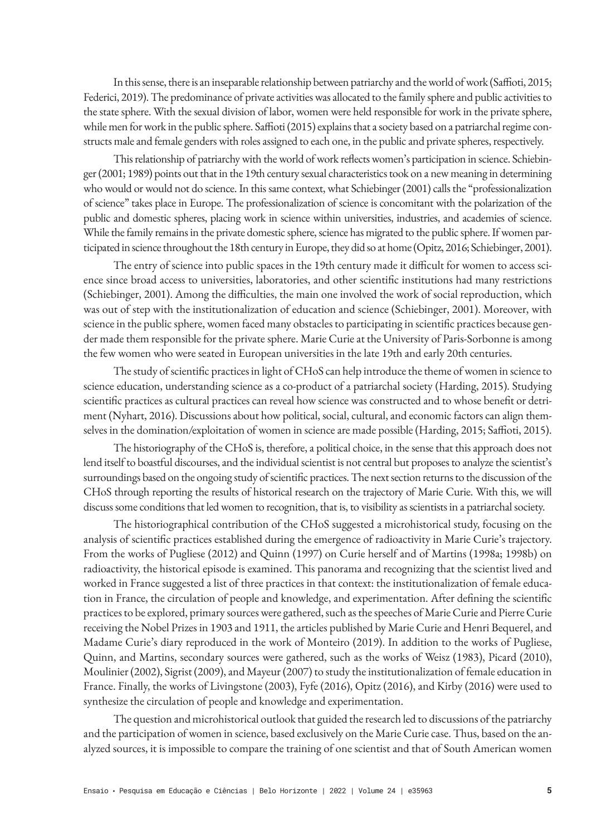In this sense, there is an inseparable relationship between patriarchy and the world of work (Saffioti, 2015; Federici, 2019). The predominance of private activities was allocated to the family sphere and public activities to the state sphere. With the sexual division of labor, women were held responsible for work in the private sphere, while men for work in the public sphere. Saffioti (2015) explains that a society based on a patriarchal regime constructs male and female genders with roles assigned to each one, in the public and private spheres, respectively.

This relationship of patriarchy with the world of work reflects women's participation in science. Schiebinger (2001; 1989) points out that in the 19th century sexual characteristics took on a new meaning in determining who would or would not do science. In this same context, what Schiebinger (2001) calls the "professionalization of science" takes place in Europe. The professionalization of science is concomitant with the polarization of the public and domestic spheres, placing work in science within universities, industries, and academies of science. While the family remains in the private domestic sphere, science has migrated to the public sphere. If women participated in science throughout the 18th century in Europe, they did so at home (Opitz, 2016; Schiebinger, 2001).

The entry of science into public spaces in the 19th century made it difficult for women to access science since broad access to universities, laboratories, and other scientific institutions had many restrictions (Schiebinger, 2001). Among the difficulties, the main one involved the work of social reproduction, which was out of step with the institutionalization of education and science (Schiebinger, 2001). Moreover, with science in the public sphere, women faced many obstacles to participating in scientific practices because gender made them responsible for the private sphere. Marie Curie at the University of Paris-Sorbonne is among the few women who were seated in European universities in the late 19th and early 20th centuries.

The study of scientific practices in light of CHoS can help introduce the theme of women in science to science education, understanding science as a co-product of a patriarchal society (Harding, 2015). Studying scientific practices as cultural practices can reveal how science was constructed and to whose benefit or detriment (Nyhart, 2016). Discussions about how political, social, cultural, and economic factors can align themselves in the domination/exploitation of women in science are made possible (Harding, 2015; Saffioti, 2015).

The historiography of the CHoS is, therefore, a political choice, in the sense that this approach does not lend itself to boastful discourses, and the individual scientist is not central but proposes to analyze the scientist's surroundings based on the ongoing study of scientific practices. The next section returns to the discussion of the CHoS through reporting the results of historical research on the trajectory of Marie Curie. With this, we will discuss some conditions that led women to recognition, that is, to visibility as scientists in a patriarchal society.

The historiographical contribution of the CHoS suggested a microhistorical study, focusing on the analysis of scientific practices established during the emergence of radioactivity in Marie Curie's trajectory. From the works of Pugliese (2012) and Quinn (1997) on Curie herself and of Martins (1998a; 1998b) on radioactivity, the historical episode is examined. This panorama and recognizing that the scientist lived and worked in France suggested a list of three practices in that context: the institutionalization of female education in France, the circulation of people and knowledge, and experimentation. After defining the scientific practices to be explored, primary sources were gathered, such as the speeches of Marie Curie and Pierre Curie receiving the Nobel Prizes in 1903 and 1911, the articles published by Marie Curie and Henri Bequerel, and Madame Curie's diary reproduced in the work of Monteiro (2019). In addition to the works of Pugliese, Quinn, and Martins, secondary sources were gathered, such as the works of Weisz (1983), Picard (2010), Moulinier (2002), Sigrist (2009), and Mayeur (2007) to study the institutionalization of female education in France. Finally, the works of Livingstone (2003), Fyfe (2016), Opitz (2016), and Kirby (2016) were used to synthesize the circulation of people and knowledge and experimentation.

The question and microhistorical outlook that guided the research led to discussions of the patriarchy and the participation of women in science, based exclusively on the Marie Curie case. Thus, based on the analyzed sources, it is impossible to compare the training of one scientist and that of South American women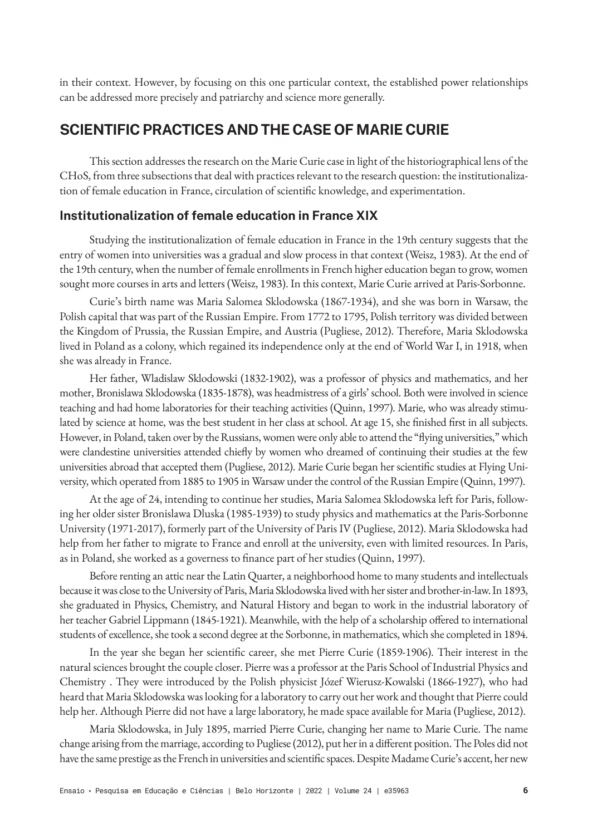in their context. However, by focusing on this one particular context, the established power relationships can be addressed more precisely and patriarchy and science more generally.

# **SCIENTIFIC PRACTICES AND THE CASE OF MARIE CURIE**

This section addresses the research on the Marie Curie case in light of the historiographical lens of the CHoS, from three subsections that deal with practices relevant to the research question: the institutionalization of female education in France, circulation of scientific knowledge, and experimentation.

### **Institutionalization of female education in France XIX**

Studying the institutionalization of female education in France in the 19th century suggests that the entry of women into universities was a gradual and slow process in that context (Weisz, 1983). At the end of the 19th century, when the number of female enrollments in French higher education began to grow, women sought more courses in arts and letters (Weisz, 1983). In this context, Marie Curie arrived at Paris-Sorbonne.

Curie's birth name was Maria Salomea Sklodowska (1867-1934), and she was born in Warsaw, the Polish capital that was part of the Russian Empire. From 1772 to 1795, Polish territory was divided between the Kingdom of Prussia, the Russian Empire, and Austria (Pugliese, 2012). Therefore, Maria Sklodowska lived in Poland as a colony, which regained its independence only at the end of World War I, in 1918, when she was already in France.

Her father, Wladislaw Sklodowski (1832-1902), was a professor of physics and mathematics, and her mother, Bronislawa Sklodowska (1835-1878), was headmistress of a girls' school. Both were involved in science teaching and had home laboratories for their teaching activities (Quinn, 1997). Marie, who was already stimulated by science at home, was the best student in her class at school. At age 15, she finished first in all subjects. However, in Poland, taken over by the Russians, women were only able to attend the "flying universities," which were clandestine universities attended chiefly by women who dreamed of continuing their studies at the few universities abroad that accepted them (Pugliese, 2012). Marie Curie began her scientific studies at Flying University, which operated from 1885 to 1905 in Warsaw under the control of the Russian Empire (Quinn, 1997).

At the age of 24, intending to continue her studies, Maria Salomea Sklodowska left for Paris, following her older sister Bronislawa Dluska (1985-1939) to study physics and mathematics at the Paris-Sorbonne University (1971-2017), formerly part of the University of Paris IV (Pugliese, 2012). Maria Sklodowska had help from her father to migrate to France and enroll at the university, even with limited resources. In Paris, as in Poland, she worked as a governess to finance part of her studies (Quinn, 1997).

Before renting an attic near the Latin Quarter, a neighborhood home to many students and intellectuals because it was close to the University of Paris, Maria Sklodowska lived with her sister and brother-in-law. In 1893, she graduated in Physics, Chemistry, and Natural History and began to work in the industrial laboratory of her teacher Gabriel Lippmann (1845-1921). Meanwhile, with the help of a scholarship offered to international students of excellence, she took a second degree at the Sorbonne, in mathematics, which she completed in 1894.

In the year she began her scientific career, she met Pierre Curie (1859-1906). Their interest in the natural sciences brought the couple closer. Pierre was a professor at the Paris School of Industrial Physics and Chemistry . They were introduced by the Polish physicist Józef Wierusz-Kowalski (1866-1927), who had heard that Maria Sklodowska was looking for a laboratory to carry out her work and thought that Pierre could help her. Although Pierre did not have a large laboratory, he made space available for Maria (Pugliese, 2012).

Maria Sklodowska, in July 1895, married Pierre Curie, changing her name to Marie Curie. The name change arising from the marriage, according to Pugliese (2012), put her in a different position. The Poles did not have the same prestige as the French in universities and scientific spaces. Despite Madame Curie's accent, her new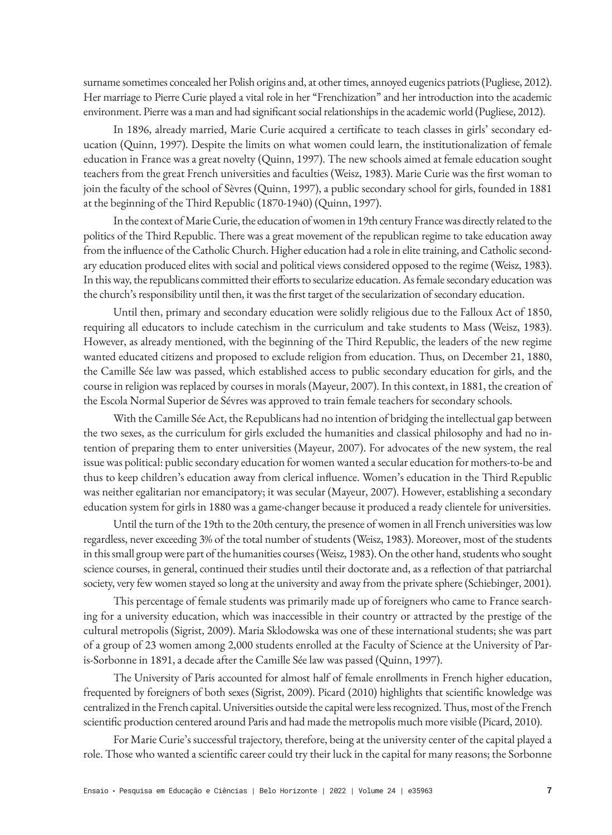surname sometimes concealed her Polish origins and, at other times, annoyed eugenics patriots (Pugliese, 2012). Her marriage to Pierre Curie played a vital role in her "Frenchization" and her introduction into the academic environment. Pierre was a man and had significant social relationships in the academic world (Pugliese, 2012).

In 1896, already married, Marie Curie acquired a certificate to teach classes in girls' secondary education (Quinn, 1997). Despite the limits on what women could learn, the institutionalization of female education in France was a great novelty (Quinn, 1997). The new schools aimed at female education sought teachers from the great French universities and faculties (Weisz, 1983). Marie Curie was the first woman to join the faculty of the school of Sèvres (Quinn, 1997), a public secondary school for girls, founded in 1881 at the beginning of the Third Republic (1870-1940) (Quinn, 1997).

In the context of Marie Curie, the education of women in 19th century France was directly related to the politics of the Third Republic. There was a great movement of the republican regime to take education away from the influence of the Catholic Church. Higher education had a role in elite training, and Catholic secondary education produced elites with social and political views considered opposed to the regime (Weisz, 1983). In this way, the republicans committed their efforts to secularize education. As female secondary education was the church's responsibility until then, it was the first target of the secularization of secondary education.

Until then, primary and secondary education were solidly religious due to the Falloux Act of 1850, requiring all educators to include catechism in the curriculum and take students to Mass (Weisz, 1983). However, as already mentioned, with the beginning of the Third Republic, the leaders of the new regime wanted educated citizens and proposed to exclude religion from education. Thus, on December 21, 1880, the Camille Sée law was passed, which established access to public secondary education for girls, and the course in religion was replaced by courses in morals (Mayeur, 2007). In this context, in 1881, the creation of the Escola Normal Superior de Sévres was approved to train female teachers for secondary schools.

With the Camille Sée Act, the Republicans had no intention of bridging the intellectual gap between the two sexes, as the curriculum for girls excluded the humanities and classical philosophy and had no intention of preparing them to enter universities (Mayeur, 2007). For advocates of the new system, the real issue was political: public secondary education for women wanted a secular education for mothers-to-be and thus to keep children's education away from clerical influence. Women's education in the Third Republic was neither egalitarian nor emancipatory; it was secular (Mayeur, 2007). However, establishing a secondary education system for girls in 1880 was a game-changer because it produced a ready clientele for universities.

Until the turn of the 19th to the 20th century, the presence of women in all French universities was low regardless, never exceeding 3% of the total number of students (Weisz, 1983). Moreover, most of the students in this small group were part of the humanities courses (Weisz, 1983). On the other hand, students who sought science courses, in general, continued their studies until their doctorate and, as a reflection of that patriarchal society, very few women stayed so long at the university and away from the private sphere (Schiebinger, 2001).

This percentage of female students was primarily made up of foreigners who came to France searching for a university education, which was inaccessible in their country or attracted by the prestige of the cultural metropolis (Sigrist, 2009). Maria Sklodowska was one of these international students; she was part of a group of 23 women among 2,000 students enrolled at the Faculty of Science at the University of Paris-Sorbonne in 1891, a decade after the Camille Sée law was passed (Quinn, 1997).

The University of Paris accounted for almost half of female enrollments in French higher education, frequented by foreigners of both sexes (Sigrist, 2009). Picard (2010) highlights that scientific knowledge was centralized in the French capital. Universities outside the capital were less recognized. Thus, most of the French scientific production centered around Paris and had made the metropolis much more visible (Picard, 2010).

For Marie Curie's successful trajectory, therefore, being at the university center of the capital played a role. Those who wanted a scientific career could try their luck in the capital for many reasons; the Sorbonne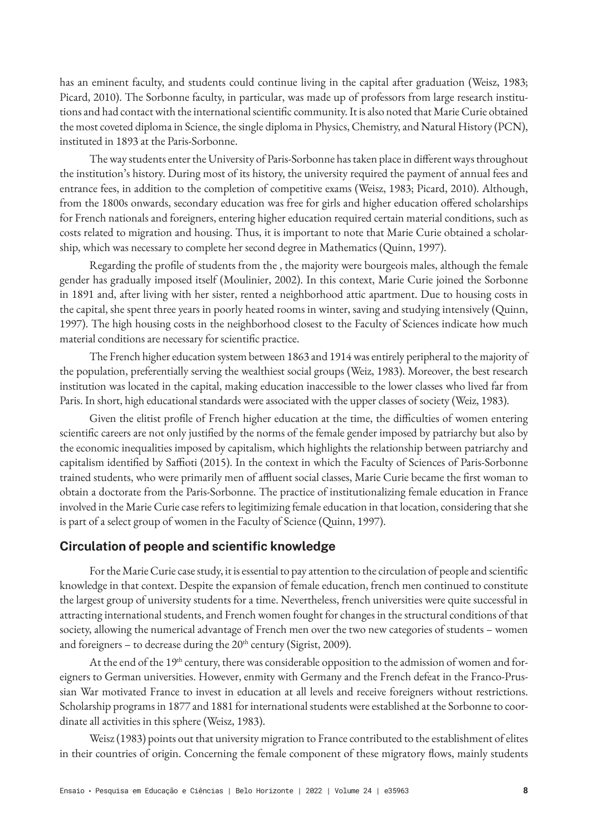has an eminent faculty, and students could continue living in the capital after graduation (Weisz, 1983; Picard, 2010). The Sorbonne faculty, in particular, was made up of professors from large research institutions and had contact with the international scientific community. It is also noted that Marie Curie obtained the most coveted diploma in Science, the single diploma in Physics, Chemistry, and Natural History (PCN), instituted in 1893 at the Paris-Sorbonne.

The way students enter the University of Paris-Sorbonne has taken place in different ways throughout the institution's history. During most of its history, the university required the payment of annual fees and entrance fees, in addition to the completion of competitive exams (Weisz, 1983; Picard, 2010). Although, from the 1800s onwards, secondary education was free for girls and higher education offered scholarships for French nationals and foreigners, entering higher education required certain material conditions, such as costs related to migration and housing. Thus, it is important to note that Marie Curie obtained a scholarship, which was necessary to complete her second degree in Mathematics (Quinn, 1997).

Regarding the profile of students from the , the majority were bourgeois males, although the female gender has gradually imposed itself (Moulinier, 2002). In this context, Marie Curie joined the Sorbonne in 1891 and, after living with her sister, rented a neighborhood attic apartment. Due to housing costs in the capital, she spent three years in poorly heated rooms in winter, saving and studying intensively (Quinn, 1997). The high housing costs in the neighborhood closest to the Faculty of Sciences indicate how much material conditions are necessary for scientific practice.

The French higher education system between 1863 and 1914 was entirely peripheral to the majority of the population, preferentially serving the wealthiest social groups (Weiz, 1983). Moreover, the best research institution was located in the capital, making education inaccessible to the lower classes who lived far from Paris. In short, high educational standards were associated with the upper classes of society (Weiz, 1983).

Given the elitist profile of French higher education at the time, the difficulties of women entering scientific careers are not only justified by the norms of the female gender imposed by patriarchy but also by the economic inequalities imposed by capitalism, which highlights the relationship between patriarchy and capitalism identified by Saffioti (2015). In the context in which the Faculty of Sciences of Paris-Sorbonne trained students, who were primarily men of affluent social classes, Marie Curie became the first woman to obtain a doctorate from the Paris-Sorbonne. The practice of institutionalizing female education in France involved in the Marie Curie case refers to legitimizing female education in that location, considering that she is part of a select group of women in the Faculty of Science (Quinn, 1997).

### **Circulation of people and scientific knowledge**

For the Marie Curie case study, it is essential to pay attention to the circulation of people and scientific knowledge in that context. Despite the expansion of female education, french men continued to constitute the largest group of university students for a time. Nevertheless, french universities were quite successful in attracting international students, and French women fought for changes in the structural conditions of that society, allowing the numerical advantage of French men over the two new categories of students – women and foreigners - to decrease during the  $20<sup>th</sup>$  century (Sigrist, 2009).

At the end of the 19<sup>th</sup> century, there was considerable opposition to the admission of women and foreigners to German universities. However, enmity with Germany and the French defeat in the Franco-Prussian War motivated France to invest in education at all levels and receive foreigners without restrictions. Scholarship programs in 1877 and 1881 for international students were established at the Sorbonne to coordinate all activities in this sphere (Weisz, 1983).

Weisz (1983) points out that university migration to France contributed to the establishment of elites in their countries of origin. Concerning the female component of these migratory flows, mainly students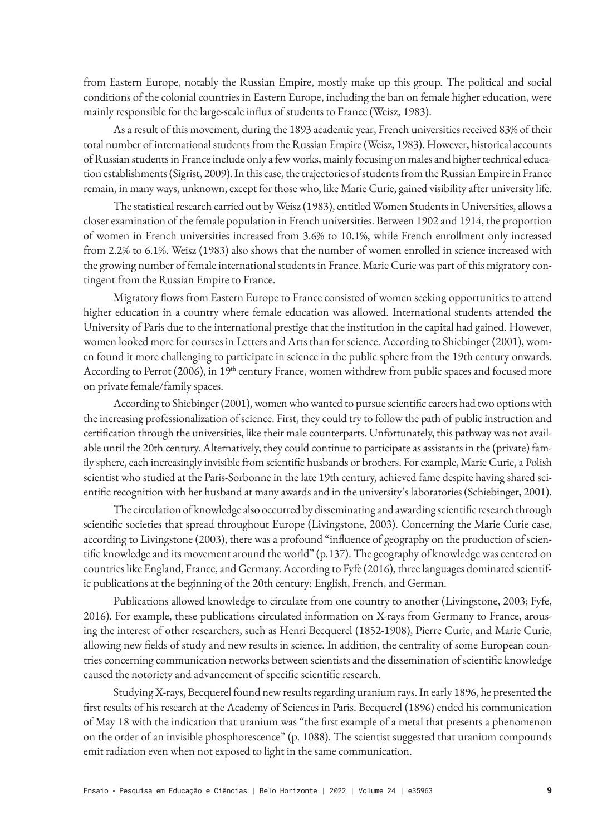from Eastern Europe, notably the Russian Empire, mostly make up this group. The political and social conditions of the colonial countries in Eastern Europe, including the ban on female higher education, were mainly responsible for the large-scale influx of students to France (Weisz, 1983).

As a result of this movement, during the 1893 academic year, French universities received 83% of their total number of international students from the Russian Empire (Weisz, 1983). However, historical accounts of Russian students in France include only a few works, mainly focusing on males and higher technical education establishments (Sigrist, 2009). In this case, the trajectories of students from the Russian Empire in France remain, in many ways, unknown, except for those who, like Marie Curie, gained visibility after university life.

The statistical research carried out by Weisz (1983), entitled Women Students in Universities, allows a closer examination of the female population in French universities. Between 1902 and 1914, the proportion of women in French universities increased from 3.6% to 10.1%, while French enrollment only increased from 2.2% to 6.1%. Weisz (1983) also shows that the number of women enrolled in science increased with the growing number of female international students in France. Marie Curie was part of this migratory contingent from the Russian Empire to France.

Migratory flows from Eastern Europe to France consisted of women seeking opportunities to attend higher education in a country where female education was allowed. International students attended the University of Paris due to the international prestige that the institution in the capital had gained. However, women looked more for courses in Letters and Arts than for science. According to Shiebinger (2001), women found it more challenging to participate in science in the public sphere from the 19th century onwards. According to Perrot (2006), in 19<sup>th</sup> century France, women withdrew from public spaces and focused more on private female/family spaces.

According to Shiebinger (2001), women who wanted to pursue scientific careers had two options with the increasing professionalization of science. First, they could try to follow the path of public instruction and certification through the universities, like their male counterparts. Unfortunately, this pathway was not available until the 20th century. Alternatively, they could continue to participate as assistants in the (private) family sphere, each increasingly invisible from scientific husbands or brothers. For example, Marie Curie, a Polish scientist who studied at the Paris-Sorbonne in the late 19th century, achieved fame despite having shared scientific recognition with her husband at many awards and in the university's laboratories (Schiebinger, 2001).

The circulation of knowledge also occurred by disseminating and awarding scientific research through scientific societies that spread throughout Europe (Livingstone, 2003). Concerning the Marie Curie case, according to Livingstone (2003), there was a profound "influence of geography on the production of scientific knowledge and its movement around the world" (p.137). The geography of knowledge was centered on countries like England, France, and Germany. According to Fyfe (2016), three languages dominated scientific publications at the beginning of the 20th century: English, French, and German.

Publications allowed knowledge to circulate from one country to another (Livingstone, 2003; Fyfe, 2016). For example, these publications circulated information on X-rays from Germany to France, arousing the interest of other researchers, such as Henri Becquerel (1852-1908), Pierre Curie, and Marie Curie, allowing new fields of study and new results in science. In addition, the centrality of some European countries concerning communication networks between scientists and the dissemination of scientific knowledge caused the notoriety and advancement of specific scientific research.

Studying X-rays, Becquerel found new results regarding uranium rays. In early 1896, he presented the first results of his research at the Academy of Sciences in Paris. Becquerel (1896) ended his communication of May 18 with the indication that uranium was "the first example of a metal that presents a phenomenon on the order of an invisible phosphorescence" (p. 1088). The scientist suggested that uranium compounds emit radiation even when not exposed to light in the same communication.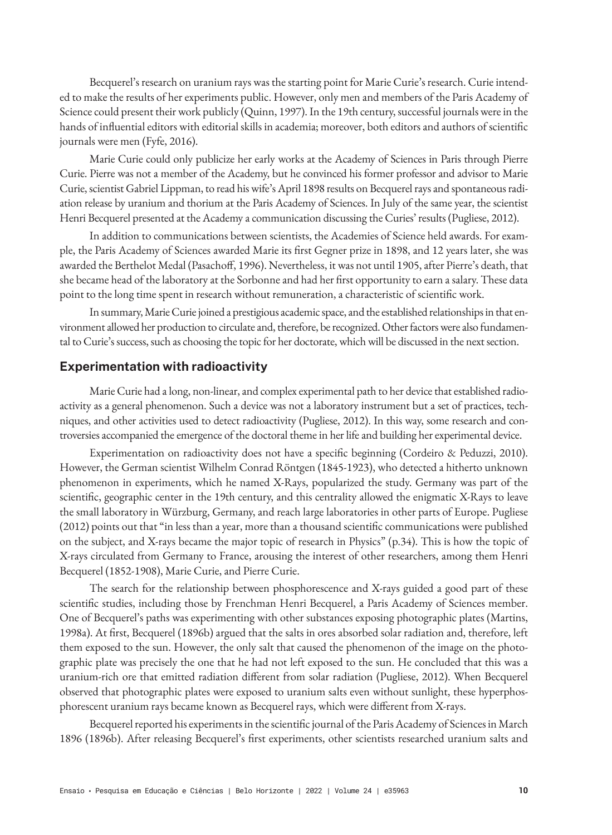Becquerel's research on uranium rays was the starting point for Marie Curie's research. Curie intended to make the results of her experiments public. However, only men and members of the Paris Academy of Science could present their work publicly (Quinn, 1997). In the 19th century, successful journals were in the hands of influential editors with editorial skills in academia; moreover, both editors and authors of scientific journals were men (Fyfe, 2016).

Marie Curie could only publicize her early works at the Academy of Sciences in Paris through Pierre Curie. Pierre was not a member of the Academy, but he convinced his former professor and advisor to Marie Curie, scientist Gabriel Lippman, to read his wife's April 1898 results on Becquerel rays and spontaneous radiation release by uranium and thorium at the Paris Academy of Sciences. In July of the same year, the scientist Henri Becquerel presented at the Academy a communication discussing the Curies' results (Pugliese, 2012).

In addition to communications between scientists, the Academies of Science held awards. For example, the Paris Academy of Sciences awarded Marie its first Gegner prize in 1898, and 12 years later, she was awarded the Berthelot Medal (Pasachoff, 1996). Nevertheless, it was not until 1905, after Pierre's death, that she became head of the laboratory at the Sorbonne and had her first opportunity to earn a salary. These data point to the long time spent in research without remuneration, a characteristic of scientific work.

In summary, Marie Curie joined a prestigious academic space, and the established relationships in that environment allowed her production to circulate and, therefore, be recognized. Other factors were also fundamental to Curie's success, such as choosing the topic for her doctorate, which will be discussed in the next section.

### **Experimentation with radioactivity**

Marie Curie had a long, non-linear, and complex experimental path to her device that established radioactivity as a general phenomenon. Such a device was not a laboratory instrument but a set of practices, techniques, and other activities used to detect radioactivity (Pugliese, 2012). In this way, some research and controversies accompanied the emergence of the doctoral theme in her life and building her experimental device.

Experimentation on radioactivity does not have a specific beginning (Cordeiro & Peduzzi, 2010). However, the German scientist Wilhelm Conrad Röntgen (1845-1923), who detected a hitherto unknown phenomenon in experiments, which he named X-Rays, popularized the study. Germany was part of the scientific, geographic center in the 19th century, and this centrality allowed the enigmatic X-Rays to leave the small laboratory in Würzburg, Germany, and reach large laboratories in other parts of Europe. Pugliese (2012) points out that "in less than a year, more than a thousand scientific communications were published on the subject, and X-rays became the major topic of research in Physics" (p.34). This is how the topic of X-rays circulated from Germany to France, arousing the interest of other researchers, among them Henri Becquerel (1852-1908), Marie Curie, and Pierre Curie.

The search for the relationship between phosphorescence and X-rays guided a good part of these scientific studies, including those by Frenchman Henri Becquerel, a Paris Academy of Sciences member. One of Becquerel's paths was experimenting with other substances exposing photographic plates (Martins, 1998a). At first, Becquerel (1896b) argued that the salts in ores absorbed solar radiation and, therefore, left them exposed to the sun. However, the only salt that caused the phenomenon of the image on the photographic plate was precisely the one that he had not left exposed to the sun. He concluded that this was a uranium-rich ore that emitted radiation different from solar radiation (Pugliese, 2012). When Becquerel observed that photographic plates were exposed to uranium salts even without sunlight, these hyperphosphorescent uranium rays became known as Becquerel rays, which were different from X-rays.

Becquerel reported his experiments in the scientific journal of the Paris Academy of Sciences in March 1896 (1896b). After releasing Becquerel's first experiments, other scientists researched uranium salts and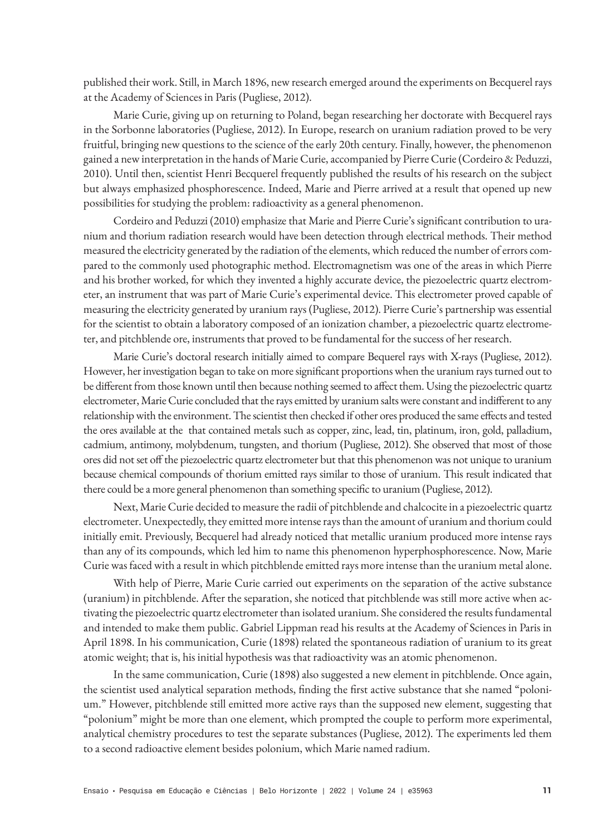published their work. Still, in March 1896, new research emerged around the experiments on Becquerel rays at the Academy of Sciences in Paris (Pugliese, 2012).

Marie Curie, giving up on returning to Poland, began researching her doctorate with Becquerel rays in the Sorbonne laboratories (Pugliese, 2012). In Europe, research on uranium radiation proved to be very fruitful, bringing new questions to the science of the early 20th century. Finally, however, the phenomenon gained a new interpretation in the hands of Marie Curie, accompanied by Pierre Curie (Cordeiro & Peduzzi, 2010). Until then, scientist Henri Becquerel frequently published the results of his research on the subject but always emphasized phosphorescence. Indeed, Marie and Pierre arrived at a result that opened up new possibilities for studying the problem: radioactivity as a general phenomenon.

Cordeiro and Peduzzi (2010) emphasize that Marie and Pierre Curie's significant contribution to uranium and thorium radiation research would have been detection through electrical methods. Their method measured the electricity generated by the radiation of the elements, which reduced the number of errors compared to the commonly used photographic method. Electromagnetism was one of the areas in which Pierre and his brother worked, for which they invented a highly accurate device, the piezoelectric quartz electrometer, an instrument that was part of Marie Curie's experimental device. This electrometer proved capable of measuring the electricity generated by uranium rays (Pugliese, 2012). Pierre Curie's partnership was essential for the scientist to obtain a laboratory composed of an ionization chamber, a piezoelectric quartz electrometer, and pitchblende ore, instruments that proved to be fundamental for the success of her research.

Marie Curie's doctoral research initially aimed to compare Bequerel rays with X-rays (Pugliese, 2012). However, her investigation began to take on more significant proportions when the uranium rays turned out to be different from those known until then because nothing seemed to affect them. Using the piezoelectric quartz electrometer, Marie Curie concluded that the rays emitted by uranium salts were constant and indifferent to any relationship with the environment. The scientist then checked if other ores produced the same effects and tested the ores available at the that contained metals such as copper, zinc, lead, tin, platinum, iron, gold, palladium, cadmium, antimony, molybdenum, tungsten, and thorium (Pugliese, 2012). She observed that most of those ores did not set off the piezoelectric quartz electrometer but that this phenomenon was not unique to uranium because chemical compounds of thorium emitted rays similar to those of uranium. This result indicated that there could be a more general phenomenon than something specific to uranium (Pugliese, 2012).

Next, Marie Curie decided to measure the radii of pitchblende and chalcocite in a piezoelectric quartz electrometer. Unexpectedly, they emitted more intense rays than the amount of uranium and thorium could initially emit. Previously, Becquerel had already noticed that metallic uranium produced more intense rays than any of its compounds, which led him to name this phenomenon hyperphosphorescence. Now, Marie Curie was faced with a result in which pitchblende emitted rays more intense than the uranium metal alone.

With help of Pierre, Marie Curie carried out experiments on the separation of the active substance (uranium) in pitchblende. After the separation, she noticed that pitchblende was still more active when activating the piezoelectric quartz electrometer than isolated uranium. She considered the results fundamental and intended to make them public. Gabriel Lippman read his results at the Academy of Sciences in Paris in April 1898. In his communication, Curie (1898) related the spontaneous radiation of uranium to its great atomic weight; that is, his initial hypothesis was that radioactivity was an atomic phenomenon.

In the same communication, Curie (1898) also suggested a new element in pitchblende. Once again, the scientist used analytical separation methods, finding the first active substance that she named "polonium." However, pitchblende still emitted more active rays than the supposed new element, suggesting that "polonium" might be more than one element, which prompted the couple to perform more experimental, analytical chemistry procedures to test the separate substances (Pugliese, 2012). The experiments led them to a second radioactive element besides polonium, which Marie named radium.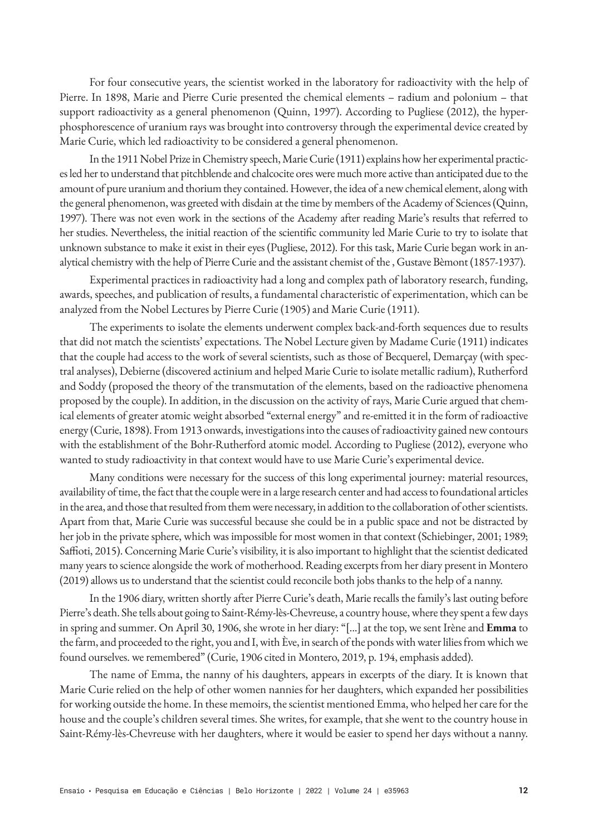For four consecutive years, the scientist worked in the laboratory for radioactivity with the help of Pierre. In 1898, Marie and Pierre Curie presented the chemical elements – radium and polonium – that support radioactivity as a general phenomenon (Quinn, 1997). According to Pugliese (2012), the hyperphosphorescence of uranium rays was brought into controversy through the experimental device created by Marie Curie, which led radioactivity to be considered a general phenomenon.

In the 1911 Nobel Prize in Chemistry speech, Marie Curie (1911) explains how her experimental practices led her to understand that pitchblende and chalcocite ores were much more active than anticipated due to the amount of pure uranium and thorium they contained. However, the idea of a new chemical element, along with the general phenomenon, was greeted with disdain at the time by members of the Academy of Sciences (Quinn, 1997). There was not even work in the sections of the Academy after reading Marie's results that referred to her studies. Nevertheless, the initial reaction of the scientific community led Marie Curie to try to isolate that unknown substance to make it exist in their eyes (Pugliese, 2012). For this task, Marie Curie began work in analytical chemistry with the help of Pierre Curie and the assistant chemist of the , Gustave Bèmont (1857-1937).

Experimental practices in radioactivity had a long and complex path of laboratory research, funding, awards, speeches, and publication of results, a fundamental characteristic of experimentation, which can be analyzed from the Nobel Lectures by Pierre Curie (1905) and Marie Curie (1911).

The experiments to isolate the elements underwent complex back-and-forth sequences due to results that did not match the scientists' expectations. The Nobel Lecture given by Madame Curie (1911) indicates that the couple had access to the work of several scientists, such as those of Becquerel, Demarçay (with spectral analyses), Debierne (discovered actinium and helped Marie Curie to isolate metallic radium), Rutherford and Soddy (proposed the theory of the transmutation of the elements, based on the radioactive phenomena proposed by the couple). In addition, in the discussion on the activity of rays, Marie Curie argued that chemical elements of greater atomic weight absorbed "external energy" and re-emitted it in the form of radioactive energy (Curie, 1898). From 1913 onwards, investigations into the causes of radioactivity gained new contours with the establishment of the Bohr-Rutherford atomic model. According to Pugliese (2012), everyone who wanted to study radioactivity in that context would have to use Marie Curie's experimental device.

Many conditions were necessary for the success of this long experimental journey: material resources, availability of time, the fact that the couple were in a large research center and had access to foundational articles in the area, and those that resulted from them were necessary, in addition to the collaboration of other scientists. Apart from that, Marie Curie was successful because she could be in a public space and not be distracted by her job in the private sphere, which was impossible for most women in that context (Schiebinger, 2001; 1989; Saffioti, 2015). Concerning Marie Curie's visibility, it is also important to highlight that the scientist dedicated many years to science alongside the work of motherhood. Reading excerpts from her diary present in Montero (2019) allows us to understand that the scientist could reconcile both jobs thanks to the help of a nanny.

In the 1906 diary, written shortly after Pierre Curie's death, Marie recalls the family's last outing before Pierre's death. She tells about going to Saint-Rémy-lès-Chevreuse, a country house, where they spent a few days in spring and summer. On April 30, 1906, she wrote in her diary: "[...] at the top, we sent Irène and **Emma** to the farm, and proceeded to the right, you and I, with Ève, in search of the ponds with water lilies from which we found ourselves. we remembered" (Curie, 1906 cited in Montero, 2019, p. 194, emphasis added).

The name of Emma, the nanny of his daughters, appears in excerpts of the diary. It is known that Marie Curie relied on the help of other women nannies for her daughters, which expanded her possibilities for working outside the home. In these memoirs, the scientist mentioned Emma, who helped her care for the house and the couple's children several times. She writes, for example, that she went to the country house in Saint-Rémy-lès-Chevreuse with her daughters, where it would be easier to spend her days without a nanny.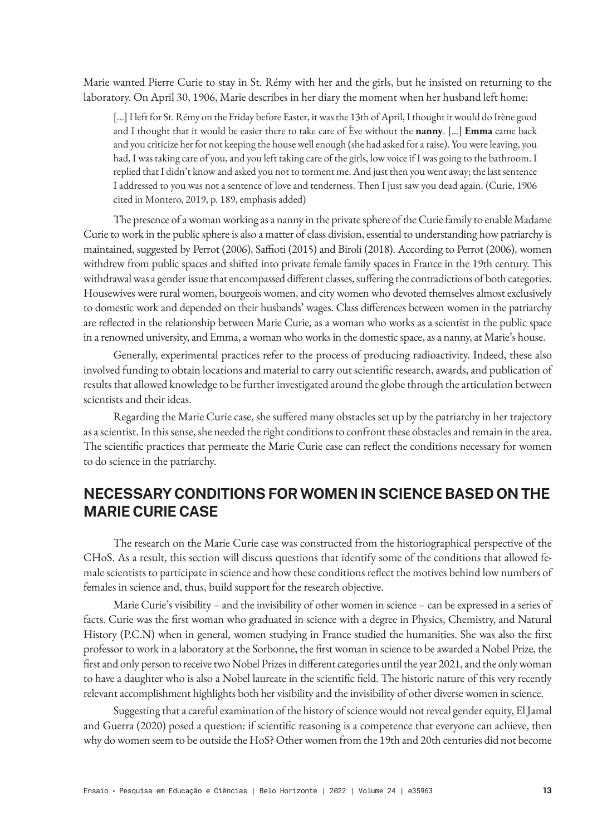Marie wanted Pierre Curie to stay in St. Rémy with her and the girls, but he insisted on returning to the laboratory. On April 30, 1906, Marie describes in her diary the moment when her husband left home:

[...] I left for St. Rémy on the Friday before Easter, it was the 13th of April, I thought it would do Irène good and I thought that it would be easier there to take care of Ève without the **nanny**. [...] **Emma** came back and you criticize her for not keeping the house well enough (she had asked for a raise). You were leaving, you had, I was taking care of you, and you left taking care of the girls, low voice if I was going to the bathroom. I replied that I didn't know and asked you not to torment me. And just then you went away; the last sentence I addressed to you was not a sentence of love and tenderness. Then I just saw you dead again. (Curie, 1906 cited in Montero, 2019, p. 189, emphasis added)

The presence of a woman working as a nanny in the private sphere of the Curie family to enable Madame Curie to work in the public sphere is also a matter of class division, essential to understanding how patriarchy is maintained, suggested by Perrot (2006), Saffioti (2015) and Biroli (2018). According to Perrot (2006), women withdrew from public spaces and shifted into private female family spaces in France in the 19th century. This withdrawal was a gender issue that encompassed different classes, suffering the contradictions of both categories. Housewives were rural women, bourgeois women, and city women who devoted themselves almost exclusively to domestic work and depended on their husbands' wages. Class differences between women in the patriarchy are reflected in the relationship between Marie Curie, as a woman who works as a scientist in the public space in a renowned university, and Emma, a woman who works in the domestic space, as a nanny, at Marie's house.

Generally, experimental practices refer to the process of producing radioactivity. Indeed, these also involved funding to obtain locations and material to carry out scientific research, awards, and publication of results that allowed knowledge to be further investigated around the globe through the articulation between scientists and their ideas.

Regarding the Marie Curie case, she suffered many obstacles set up by the patriarchy in her trajectory as a scientist. In this sense, she needed the right conditions to confront these obstacles and remain in the area. The scientific practices that permeate the Marie Curie case can reflect the conditions necessary for women to do science in the patriarchy.

# **NECESSARY CONDITIONS FOR WOMEN IN SCIENCE BASED ON THE MARIE CURIE CASE**

The research on the Marie Curie case was constructed from the historiographical perspective of the CHoS. As a result, this section will discuss questions that identify some of the conditions that allowed female scientists to participate in science and how these conditions reflect the motives behind low numbers of females in science and, thus, build support for the research objective.

Marie Curie's visibility – and the invisibility of other women in science – can be expressed in a series of facts. Curie was the first woman who graduated in science with a degree in Physics, Chemistry, and Natural History (P.C.N) when in general, women studying in France studied the humanities. She was also the first professor to work in a laboratory at the Sorbonne, the first woman in science to be awarded a Nobel Prize, the first and only person to receive two Nobel Prizes in different categories until the year 2021, and the only woman to have a daughter who is also a Nobel laureate in the scientific field. The historic nature of this very recently relevant accomplishment highlights both her visibility and the invisibility of other diverse women in science.

Suggesting that a careful examination of the history of science would not reveal gender equity, El Jamal and Guerra (2020) posed a question: if scientific reasoning is a competence that everyone can achieve, then why do women seem to be outside the HoS? Other women from the 19th and 20th centuries did not become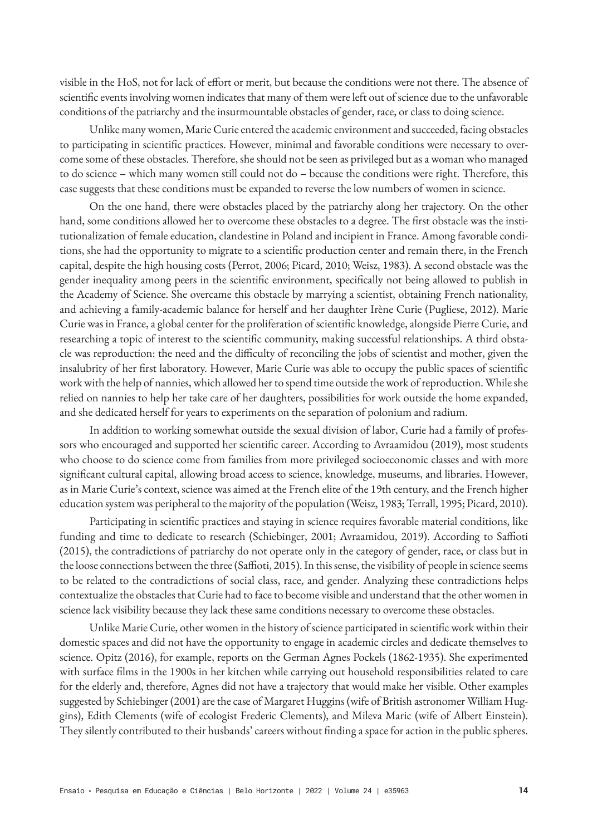visible in the HoS, not for lack of effort or merit, but because the conditions were not there. The absence of scientific events involving women indicates that many of them were left out of science due to the unfavorable conditions of the patriarchy and the insurmountable obstacles of gender, race, or class to doing science.

Unlike many women, Marie Curie entered the academic environment and succeeded, facing obstacles to participating in scientific practices. However, minimal and favorable conditions were necessary to overcome some of these obstacles. Therefore, she should not be seen as privileged but as a woman who managed to do science – which many women still could not do – because the conditions were right. Therefore, this case suggests that these conditions must be expanded to reverse the low numbers of women in science.

On the one hand, there were obstacles placed by the patriarchy along her trajectory. On the other hand, some conditions allowed her to overcome these obstacles to a degree. The first obstacle was the institutionalization of female education, clandestine in Poland and incipient in France. Among favorable conditions, she had the opportunity to migrate to a scientific production center and remain there, in the French capital, despite the high housing costs (Perrot, 2006; Picard, 2010; Weisz, 1983). A second obstacle was the gender inequality among peers in the scientific environment, specifically not being allowed to publish in the Academy of Science. She overcame this obstacle by marrying a scientist, obtaining French nationality, and achieving a family-academic balance for herself and her daughter Irène Curie (Pugliese, 2012). Marie Curie was in France, a global center for the proliferation of scientific knowledge, alongside Pierre Curie, and researching a topic of interest to the scientific community, making successful relationships. A third obstacle was reproduction: the need and the difficulty of reconciling the jobs of scientist and mother, given the insalubrity of her first laboratory. However, Marie Curie was able to occupy the public spaces of scientific work with the help of nannies, which allowed her to spend time outside the work of reproduction. While she relied on nannies to help her take care of her daughters, possibilities for work outside the home expanded, and she dedicated herself for years to experiments on the separation of polonium and radium.

In addition to working somewhat outside the sexual division of labor, Curie had a family of professors who encouraged and supported her scientific career. According to Avraamidou (2019), most students who choose to do science come from families from more privileged socioeconomic classes and with more significant cultural capital, allowing broad access to science, knowledge, museums, and libraries. However, as in Marie Curie's context, science was aimed at the French elite of the 19th century, and the French higher education system was peripheral to the majority of the population (Weisz, 1983; Terrall, 1995; Picard, 2010).

Participating in scientific practices and staying in science requires favorable material conditions, like funding and time to dedicate to research (Schiebinger, 2001; Avraamidou, 2019). According to Saffioti (2015), the contradictions of patriarchy do not operate only in the category of gender, race, or class but in the loose connections between the three (Saffioti, 2015). In this sense, the visibility of people in science seems to be related to the contradictions of social class, race, and gender. Analyzing these contradictions helps contextualize the obstacles that Curie had to face to become visible and understand that the other women in science lack visibility because they lack these same conditions necessary to overcome these obstacles.

Unlike Marie Curie, other women in the history of science participated in scientific work within their domestic spaces and did not have the opportunity to engage in academic circles and dedicate themselves to science. Opitz (2016), for example, reports on the German Agnes Pockels (1862-1935). She experimented with surface films in the 1900s in her kitchen while carrying out household responsibilities related to care for the elderly and, therefore, Agnes did not have a trajectory that would make her visible. Other examples suggested by Schiebinger (2001) are the case of Margaret Huggins (wife of British astronomer William Huggins), Edith Clements (wife of ecologist Frederic Clements), and Mileva Maric (wife of Albert Einstein). They silently contributed to their husbands' careers without finding a space for action in the public spheres.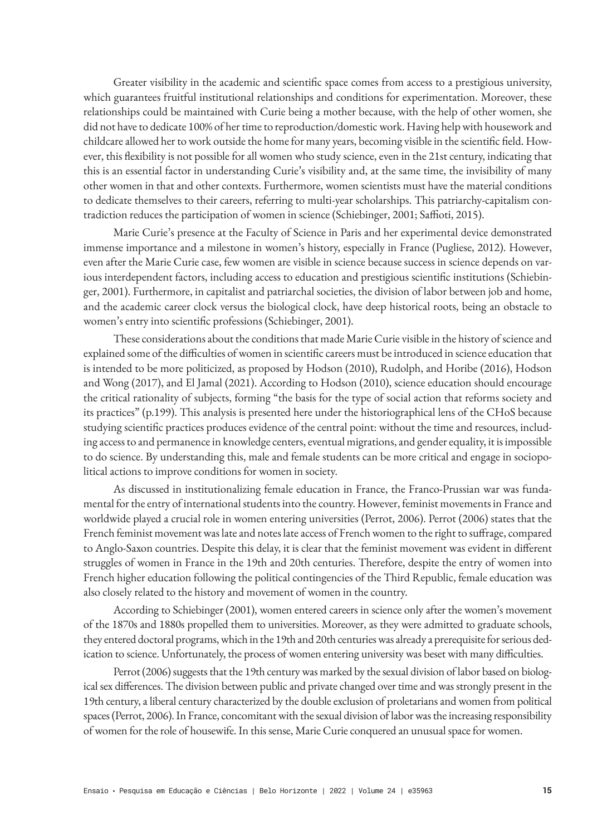Greater visibility in the academic and scientific space comes from access to a prestigious university, which guarantees fruitful institutional relationships and conditions for experimentation. Moreover, these relationships could be maintained with Curie being a mother because, with the help of other women, she did not have to dedicate 100% of her time to reproduction/domestic work. Having help with housework and childcare allowed her to work outside the home for many years, becoming visible in the scientific field. However, this flexibility is not possible for all women who study science, even in the 21st century, indicating that this is an essential factor in understanding Curie's visibility and, at the same time, the invisibility of many other women in that and other contexts. Furthermore, women scientists must have the material conditions to dedicate themselves to their careers, referring to multi-year scholarships. This patriarchy-capitalism contradiction reduces the participation of women in science (Schiebinger, 2001; Saffioti, 2015).

Marie Curie's presence at the Faculty of Science in Paris and her experimental device demonstrated immense importance and a milestone in women's history, especially in France (Pugliese, 2012). However, even after the Marie Curie case, few women are visible in science because success in science depends on various interdependent factors, including access to education and prestigious scientific institutions (Schiebinger, 2001). Furthermore, in capitalist and patriarchal societies, the division of labor between job and home, and the academic career clock versus the biological clock, have deep historical roots, being an obstacle to women's entry into scientific professions (Schiebinger, 2001).

These considerations about the conditions that made Marie Curie visible in the history of science and explained some of the difficulties of women in scientific careers must be introduced in science education that is intended to be more politicized, as proposed by Hodson (2010), Rudolph, and Horibe (2016), Hodson and Wong (2017), and El Jamal (2021). According to Hodson (2010), science education should encourage the critical rationality of subjects, forming "the basis for the type of social action that reforms society and its practices" (p.199). This analysis is presented here under the historiographical lens of the CHoS because studying scientific practices produces evidence of the central point: without the time and resources, including access to and permanence in knowledge centers, eventual migrations, and gender equality, it is impossible to do science. By understanding this, male and female students can be more critical and engage in sociopolitical actions to improve conditions for women in society.

As discussed in institutionalizing female education in France, the Franco-Prussian war was fundamental for the entry of international students into the country. However, feminist movements in France and worldwide played a crucial role in women entering universities (Perrot, 2006). Perrot (2006) states that the French feminist movement was late and notes late access of French women to the right to suffrage, compared to Anglo-Saxon countries. Despite this delay, it is clear that the feminist movement was evident in different struggles of women in France in the 19th and 20th centuries. Therefore, despite the entry of women into French higher education following the political contingencies of the Third Republic, female education was also closely related to the history and movement of women in the country.

According to Schiebinger (2001), women entered careers in science only after the women's movement of the 1870s and 1880s propelled them to universities. Moreover, as they were admitted to graduate schools, they entered doctoral programs, which in the 19th and 20th centuries was already a prerequisite for serious dedication to science. Unfortunately, the process of women entering university was beset with many difficulties.

Perrot (2006) suggests that the 19th century was marked by the sexual division of labor based on biological sex differences. The division between public and private changed over time and was strongly present in the 19th century, a liberal century characterized by the double exclusion of proletarians and women from political spaces (Perrot, 2006). In France, concomitant with the sexual division of labor was the increasing responsibility of women for the role of housewife. In this sense, Marie Curie conquered an unusual space for women.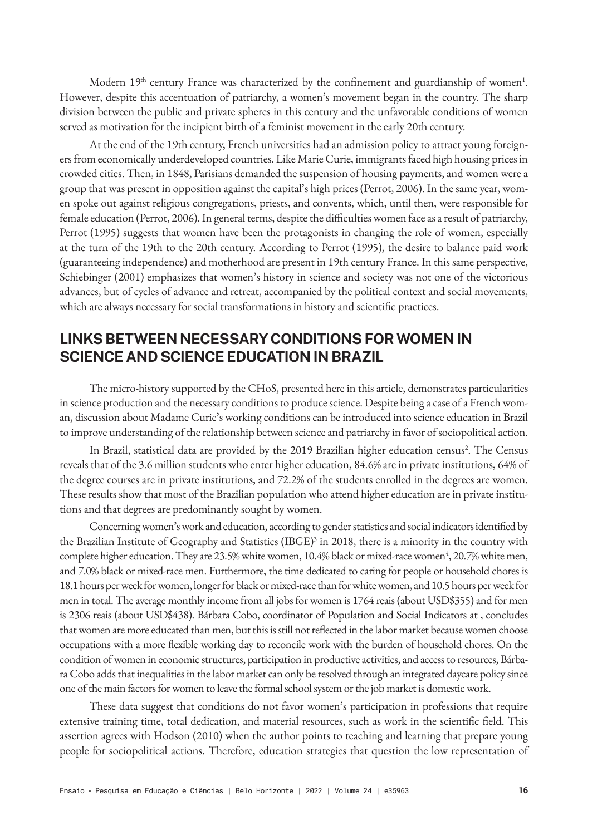Modern  $19<sup>th</sup>$  century France was characterized by the confinement and guardianship of women<sup>1</sup>. However, despite this accentuation of patriarchy, a women's movement began in the country. The sharp division between the public and private spheres in this century and the unfavorable conditions of women served as motivation for the incipient birth of a feminist movement in the early 20th century.

At the end of the 19th century, French universities had an admission policy to attract young foreigners from economically underdeveloped countries. Like Marie Curie, immigrants faced high housing prices in crowded cities. Then, in 1848, Parisians demanded the suspension of housing payments, and women were a group that was present in opposition against the capital's high prices (Perrot, 2006). In the same year, women spoke out against religious congregations, priests, and convents, which, until then, were responsible for female education (Perrot, 2006). In general terms, despite the difficulties women face as a result of patriarchy, Perrot (1995) suggests that women have been the protagonists in changing the role of women, especially at the turn of the 19th to the 20th century. According to Perrot (1995), the desire to balance paid work (guaranteeing independence) and motherhood are present in 19th century France. In this same perspective, Schiebinger (2001) emphasizes that women's history in science and society was not one of the victorious advances, but of cycles of advance and retreat, accompanied by the political context and social movements, which are always necessary for social transformations in history and scientific practices.

# **LINKS BETWEEN NECESSARY CONDITIONS FOR WOMEN IN SCIENCE AND SCIENCE EDUCATION IN BRAZIL**

The micro-history supported by the CHoS, presented here in this article, demonstrates particularities in science production and the necessary conditions to produce science. Despite being a case of a French woman, discussion about Madame Curie's working conditions can be introduced into science education in Brazil to improve understanding of the relationship between science and patriarchy in favor of sociopolitical action.

In Brazil, statistical data are provided by the 2019 Brazilian higher education census<sup>2</sup>. The Census reveals that of the 3.6 million students who enter higher education, 84.6% are in private institutions, 64% of the degree courses are in private institutions, and 72.2% of the students enrolled in the degrees are women. These results show that most of the Brazilian population who attend higher education are in private institutions and that degrees are predominantly sought by women.

Concerning women's work and education, according to gender statistics and social indicators identified by the Brazilian Institute of Geography and Statistics (IBGE)<sup>3</sup> in 2018, there is a minority in the country with complete higher education. They are 23.5% white women, 10.4% black or mixed-race women<sup>4</sup>, 20.7% white men, and 7.0% black or mixed-race men. Furthermore, the time dedicated to caring for people or household chores is 18.1 hours per week for women, longer for black or mixed-race than for white women, and 10.5 hours per week for men in total. The average monthly income from all jobs for women is 1764 reais (about USD\$355) and for men is 2306 reais (about USD\$438). Bárbara Cobo, coordinator of Population and Social Indicators at , concludes that women are more educated than men, but this is still not reflected in the labor market because women choose occupations with a more flexible working day to reconcile work with the burden of household chores. On the condition of women in economic structures, participation in productive activities, and access to resources, Bárbara Cobo adds that inequalities in the labor market can only be resolved through an integrated daycare policy since one of the main factors for women to leave the formal school system or the job market is domestic work.

These data suggest that conditions do not favor women's participation in professions that require extensive training time, total dedication, and material resources, such as work in the scientific field. This assertion agrees with Hodson (2010) when the author points to teaching and learning that prepare young people for sociopolitical actions. Therefore, education strategies that question the low representation of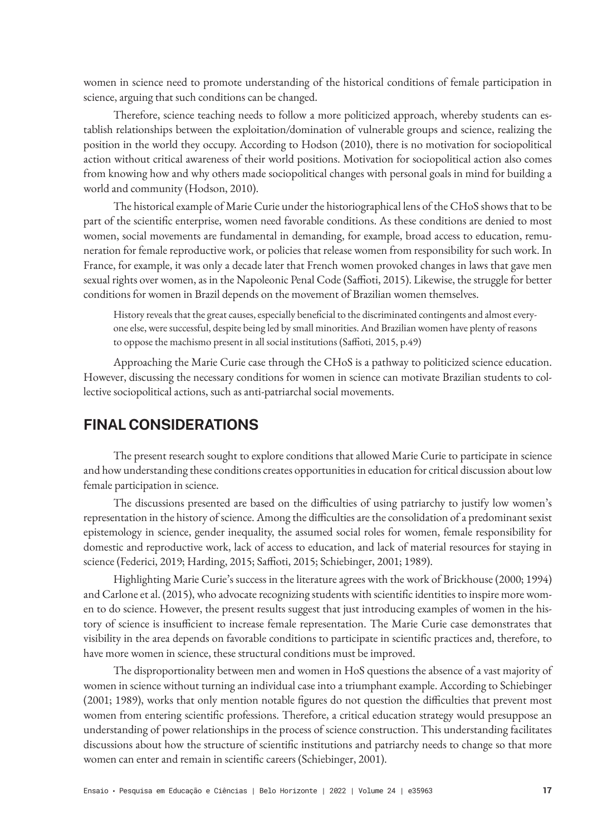women in science need to promote understanding of the historical conditions of female participation in science, arguing that such conditions can be changed.

Therefore, science teaching needs to follow a more politicized approach, whereby students can establish relationships between the exploitation/domination of vulnerable groups and science, realizing the position in the world they occupy. According to Hodson (2010), there is no motivation for sociopolitical action without critical awareness of their world positions. Motivation for sociopolitical action also comes from knowing how and why others made sociopolitical changes with personal goals in mind for building a world and community (Hodson, 2010).

The historical example of Marie Curie under the historiographical lens of the CHoS shows that to be part of the scientific enterprise, women need favorable conditions. As these conditions are denied to most women, social movements are fundamental in demanding, for example, broad access to education, remuneration for female reproductive work, or policies that release women from responsibility for such work. In France, for example, it was only a decade later that French women provoked changes in laws that gave men sexual rights over women, as in the Napoleonic Penal Code (Saffioti, 2015). Likewise, the struggle for better conditions for women in Brazil depends on the movement of Brazilian women themselves.

History reveals that the great causes, especially beneficial to the discriminated contingents and almost everyone else, were successful, despite being led by small minorities. And Brazilian women have plenty of reasons to oppose the machismo present in all social institutions (Saffioti, 2015, p.49)

Approaching the Marie Curie case through the CHoS is a pathway to politicized science education. However, discussing the necessary conditions for women in science can motivate Brazilian students to collective sociopolitical actions, such as anti-patriarchal social movements.

# **FINAL CONSIDERATIONS**

The present research sought to explore conditions that allowed Marie Curie to participate in science and how understanding these conditions creates opportunities in education for critical discussion about low female participation in science.

The discussions presented are based on the difficulties of using patriarchy to justify low women's representation in the history of science. Among the difficulties are the consolidation of a predominant sexist epistemology in science, gender inequality, the assumed social roles for women, female responsibility for domestic and reproductive work, lack of access to education, and lack of material resources for staying in science (Federici, 2019; Harding, 2015; Saffioti, 2015; Schiebinger, 2001; 1989).

Highlighting Marie Curie's success in the literature agrees with the work of Brickhouse (2000; 1994) and Carlone et al. (2015), who advocate recognizing students with scientific identities to inspire more women to do science. However, the present results suggest that just introducing examples of women in the history of science is insufficient to increase female representation. The Marie Curie case demonstrates that visibility in the area depends on favorable conditions to participate in scientific practices and, therefore, to have more women in science, these structural conditions must be improved.

The disproportionality between men and women in HoS questions the absence of a vast majority of women in science without turning an individual case into a triumphant example. According to Schiebinger (2001; 1989), works that only mention notable figures do not question the difficulties that prevent most women from entering scientific professions. Therefore, a critical education strategy would presuppose an understanding of power relationships in the process of science construction. This understanding facilitates discussions about how the structure of scientific institutions and patriarchy needs to change so that more women can enter and remain in scientific careers (Schiebinger, 2001).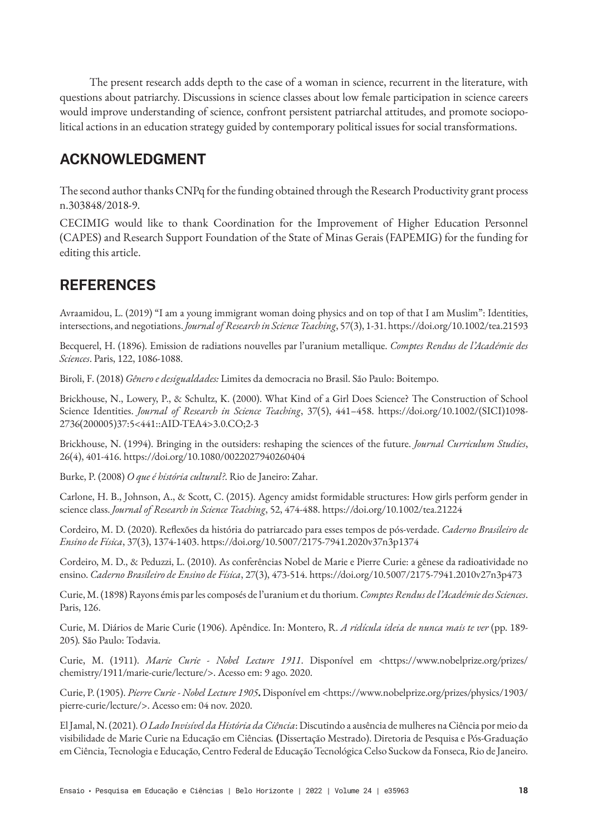The present research adds depth to the case of a woman in science, recurrent in the literature, with questions about patriarchy. Discussions in science classes about low female participation in science careers would improve understanding of science, confront persistent patriarchal attitudes, and promote sociopolitical actions in an education strategy guided by contemporary political issues for social transformations.

# **ACKNOWLEDGMENT**

The second author thanks CNPq for the funding obtained through the Research Productivity grant process n.303848/2018-9.

CECIMIG would like to thank Coordination for the Improvement of Higher Education Personnel (CAPES) and Research Support Foundation of the State of Minas Gerais (FAPEMIG) for the funding for editing this article.

# **REFERENCES**

Avraamidou, L. (2019) "I am a young immigrant woman doing physics and on top of that I am Muslim": Identities, intersections, and negotiations. *Journal of Research in Science Teaching*, 57(3), 1-31. https://doi.org/10.1002/tea.21593

Becquerel, H. (1896). Emission de radiations nouvelles par l'uranium metallique. *Comptes Rendus de l'Académie des Sciences*. Paris, 122, 1086-1088.

Biroli, F. (2018) *Gênero e desigualdades:* Limites da democracia no Brasil. São Paulo: Boitempo.

Brickhouse, N., Lowery, P., & Schultz, K. (2000). What Kind of a Girl Does Science? The Construction of School Science Identities. *Journal of Research in Science Teaching*, 37(5), 441–458. https://doi.org/10.1002/(SICI)1098- 2736(200005)37:5<441::AID-TEA4>3.0.CO;2-3

Brickhouse, N. (1994). Bringing in the outsiders: reshaping the sciences of the future. *Journal Curriculum Studies*, 26(4), 401-416. https://doi.org/10.1080/0022027940260404

Burke, P. (2008) *O que é história cultural?*. Rio de Janeiro: Zahar.

Carlone, H. B., Johnson, A., & Scott, C. (2015). Agency amidst formidable structures: How girls perform gender in science class. *Journal of Research in Science Teaching*, 52, 474-488. https://doi.org/10.1002/tea.21224

Cordeiro, M. D. (2020). Reflexões da história do patriarcado para esses tempos de pós-verdade. *Caderno Brasileiro de Ensino de Física*, 37(3), 1374-1403. https://doi.org/10.5007/2175-7941.2020v37n3p1374

Cordeiro, M. D., & Peduzzi, L. (2010). As conferências Nobel de Marie e Pierre Curie: a gênese da radioatividade no ensino. *Caderno Brasileiro de Ensino de Física*, 27(3), 473-514. https://doi.org/10.5007/2175-7941.2010v27n3p473

Curie, M. (1898) Rayons émis par les composés de l'uranium et du thorium. *Comptes Rendus de l'Académie des Sciences*. Paris, 126.

Curie, M. Diários de Marie Curie (1906). Apêndice. In: Montero, R. *A ridícula ideia de nunca mais te ver* (pp. 189- 205)*.* São Paulo: Todavia.

Curie, M. (1911). *Marie Curie - Nobel Lecture 1911*. Disponível em <https://www.nobelprize.org/prizes/ chemistry/1911/marie-curie/lecture/>. Acesso em: 9 ago. 2020.

Curie, P. (1905). *Pierre Curie - Nobel Lecture 1905***.** Disponível em <https://www.nobelprize.org/prizes/physics/1903/ pierre-curie/lecture/>. Acesso em: 04 nov. 2020.

El Jamal, N. (2021). *O Lado Invisível da História da Ciência*: Discutindo a ausência de mulheres na Ciência por meio da visibilidade de Marie Curie na Educação em Ciências*.* **(**Dissertação Mestrado). Diretoria de Pesquisa e Pós-Graduação em Ciência, Tecnologia e Educação, Centro Federal de Educação Tecnológica Celso Suckow da Fonseca, Rio de Janeiro.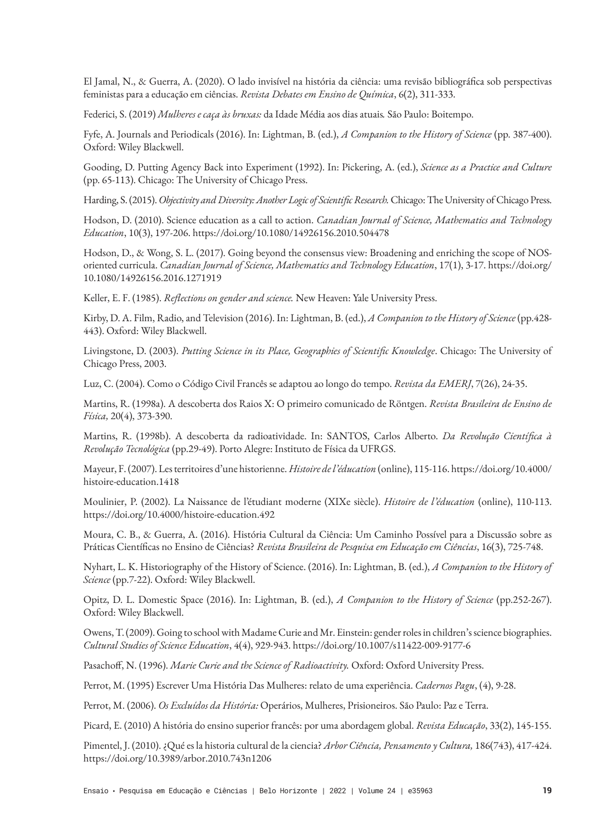El Jamal, N., & Guerra, A. (2020). O lado invisível na história da ciência: uma revisão bibliográfica sob perspectivas feministas para a educação em ciências. *Revista Debates em Ensino de Química*, 6(2), 311-333.

Federici, S. (2019) *Mulheres e caça às bruxas:* da Idade Média aos dias atuais*.* São Paulo: Boitempo.

Fyfe, A. Journals and Periodicals (2016). In: Lightman, B. (ed.), *A Companion to the History of Science* (pp. 387-400). Oxford: Wiley Blackwell.

Gooding, D. Putting Agency Back into Experiment (1992). In: Pickering, A. (ed.), *Science as a Practice and Culture*  (pp. 65-113). Chicago: The University of Chicago Press.

Harding, S. (2015). *Objectivity and Diversity: Another Logic of Scientific Research.* Chicago: The University of Chicago Press.

Hodson, D. (2010). Science education as a call to action. *Canadian Journal of Science, Mathematics and Technology Education*, 10(3), 197-206. https://doi.org/10.1080/14926156.2010.504478

Hodson, D., & Wong, S. L. (2017). Going beyond the consensus view: Broadening and enriching the scope of NOSoriented curricula. *Canadian Journal of Science, Mathematics and Technology Education*, 17(1), 3-17. https://doi.org/ 10.1080/14926156.2016.1271919

Keller, E. F. (1985). *Reflections on gender and science.* New Heaven: Yale University Press.

Kirby, D. A. Film, Radio, and Television (2016). In: Lightman, B. (ed.), *A Companion to the History of Science* (pp.428- 443). Oxford: Wiley Blackwell.

Livingstone, D. (2003). *Putting Science in its Place, Geographies of Scientific Knowledge*. Chicago: The University of Chicago Press, 2003.

Luz, C. (2004). Como o Código Civil Francês se adaptou ao longo do tempo. *Revista da EMERJ*, 7(26), 24-35.

Martins, R. (1998a). A descoberta dos Raios X: O primeiro comunicado de Röntgen. *Revista Brasileira de Ensino de Física,* 20(4), 373-390.

Martins, R. (1998b). A descoberta da radioatividade. In: SANTOS, Carlos Alberto. *Da Revolução Científica à Revolução Tecnológica* (pp.29-49). Porto Alegre: Instituto de Física da UFRGS.

Mayeur, F. (2007). Les territoires d'une historienne. *Histoire de l'éducation* (online), 115-116. https://doi.org/10.4000/ histoire-education.1418

Moulinier, P. (2002). La Naissance de l'étudiant moderne (XIXe siècle). *Histoire de l'éducation* (online), 110-113. https://doi.org/10.4000/histoire-education.492

Moura, C. B., & Guerra, A. (2016). História Cultural da Ciência: Um Caminho Possível para a Discussão sobre as Práticas Científicas no Ensino de Ciências? *Revista Brasileira de Pesquisa em Educação em Ciências*, 16(3), 725-748.

Nyhart, L. K. Historiography of the History of Science. (2016). In: Lightman, B. (ed.), *A Companion to the History of Science* (pp.7-22). Oxford: Wiley Blackwell.

Opitz, D. L. Domestic Space (2016). In: Lightman, B. (ed.), *A Companion to the History of Science* (pp.252-267). Oxford: Wiley Blackwell.

Owens, T. (2009). Going to school with Madame Curie and Mr. Einstein: gender roles in children's science biographies. *Cultural Studies of Science Education*, 4(4), 929-943. https://doi.org/10.1007/s11422-009-9177-6

Pasachoff, N. (1996). *Marie Curie and the Science of Radioactivity.* Oxford: Oxford University Press.

Perrot, M. (1995) Escrever Uma História Das Mulheres: relato de uma experiência. *Cadernos Pagu*, (4), 9-28.

Perrot, M. (2006). *Os Excluídos da História:* Operários, Mulheres, Prisioneiros. São Paulo: Paz e Terra.

Picard, E. (2010) A história do ensino superior francês: por uma abordagem global. *Revista Educação*, 33(2), 145-155.

Pimentel, J. (2010). ¿Qué es la historia cultural de la ciencia? *Arbor Ciência, Pensamento y Cultura,* 186(743), 417-424. https://doi.org/10.3989/arbor.2010.743n1206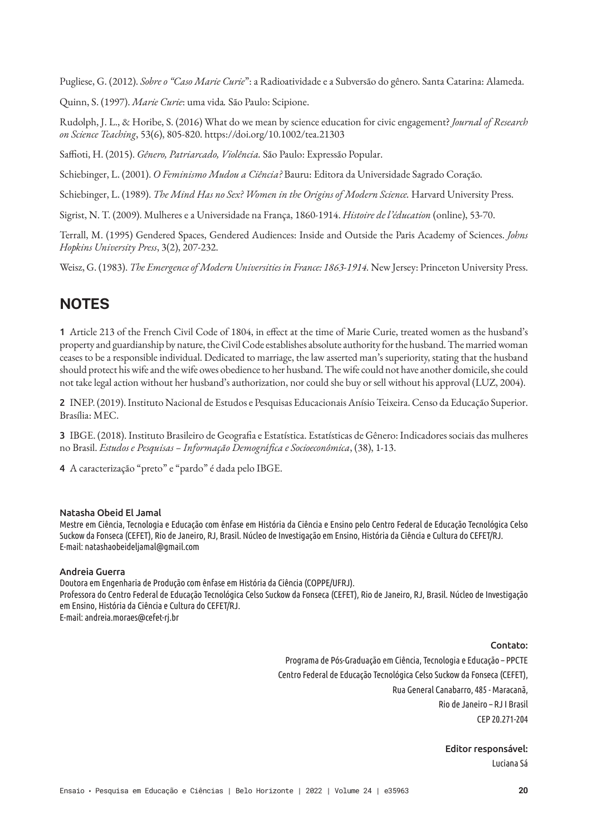Pugliese, G. (2012). *Sobre o "Caso Marie Curie*": a Radioatividade e a Subversão do gênero. Santa Catarina: Alameda.

Quinn, S. (1997). *Marie Curie*: uma vida*.* São Paulo: Scipione.

Rudolph, J. L., & Horibe, S. (2016) What do we mean by science education for civic engagement? *Journal of Research on Science Teaching*, 53(6), 805-820. https://doi.org/10.1002/tea.21303

Saffioti, H. (2015). *Gênero, Patriarcado, Violência.* São Paulo: Expressão Popular.

Schiebinger, L. (2001). *O Feminismo Mudou a Ciência?* Bauru: Editora da Universidade Sagrado Coração.

Schiebinger, L. (1989). *The Mind Has no Sex? Women in the Origins of Modern Science.* Harvard University Press.

Sigrist, N. T. (2009). Mulheres e a Universidade na França, 1860-1914. *Histoire de l'éducation* (online), 53-70.

Terrall, M. (1995) Gendered Spaces, Gendered Audiences: Inside and Outside the Paris Academy of Sciences. *Johns Hopkins University Press*, 3(2), 207-232.

Weisz, G. (1983). *The Emergence of Modern Universities in France: 1863-1914.* New Jersey: Princeton University Press.

# **NOTES**

1 Article 213 of the French Civil Code of 1804, in effect at the time of Marie Curie, treated women as the husband's property and guardianship by nature, the Civil Code establishes absolute authority for the husband. The married woman ceases to be a responsible individual. Dedicated to marriage, the law asserted man's superiority, stating that the husband should protect his wife and the wife owes obedience to her husband. The wife could not have another domicile, she could not take legal action without her husband's authorization, nor could she buy or sell without his approval (LUZ, 2004).

2 INEP. (2019). Instituto Nacional de Estudos e Pesquisas Educacionais Anísio Teixeira. Censo da Educação Superior. Brasília: MEC.

3 IBGE. (2018). Instituto Brasileiro de Geografia e Estatística. Estatísticas de Gênero: Indicadores sociais das mulheres no Brasil. *Estudos e Pesquisas – Informação Demográfica e Socioeconômica*, (38), 1-13.

4 A caracterização "preto" e "pardo" é dada pelo IBGE.

#### Natasha Obeid El Jamal

Mestre em Ciência, Tecnologia e Educação com ênfase em História da Ciência e Ensino pelo Centro Federal de Educação Tecnológica Celso Suckow da Fonseca (CEFET), Rio de Janeiro, RJ, Brasil. Núcleo de Investigação em Ensino, História da Ciência e Cultura do CEFET/RJ. E-mail: natashaobeideljamal@gmail.com

#### Andreia Guerra

Doutora em Engenharia de Produção com ênfase em História da Ciência (COPPE/UFRJ). Professora do Centro Federal de Educação Tecnológica Celso Suckow da Fonseca (CEFET), Rio de Janeiro, RJ, Brasil. Núcleo de Investigação em Ensino, História da Ciência e Cultura do CEFET/RJ. E-mail: andreia.moraes@cefet-rj.br

Contato:

Programa de Pós-Graduação em Ciência, Tecnologia e Educação – PPCTE Centro Federal de Educação Tecnológica Celso Suckow da Fonseca (CEFET), Rua General Canabarro, 485 - Maracanã, Rio de Janeiro – RJ I Brasil CEP 20.271-204

> Editor responsável: Luciana Sá